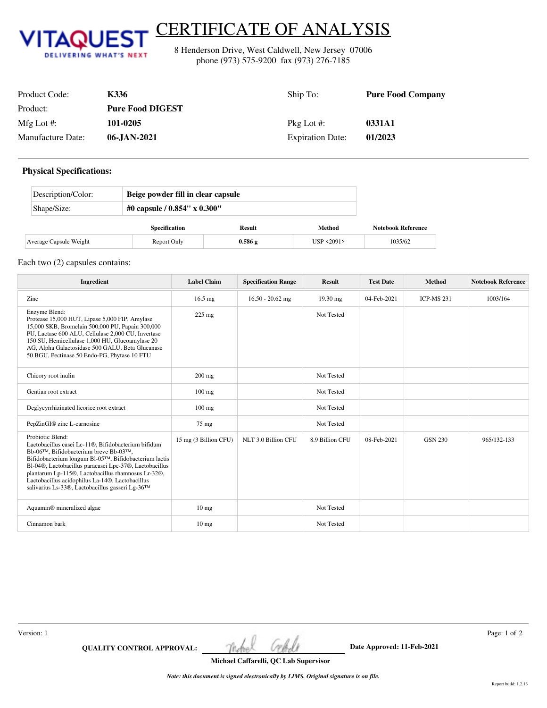

## CERTIFICATE OF ANALYSIS

8 Henderson Drive, West Caldwell, New Jersey 07006 phone (973) 575-9200 fax (973) 276-7185

| Product Code:     | K336                    | Ship To:                | <b>Pure Food Company</b> |
|-------------------|-------------------------|-------------------------|--------------------------|
| Product:          | <b>Pure Food DIGEST</b> |                         |                          |
| Mfg Lot $\#$ :    | 101-0205                | $Pkg$ Lot #:            | 0331A1                   |
| Manufacture Date: | 06-JAN-2021             | <b>Expiration Date:</b> | 01/2023                  |

## **Physical Specifications:**

| Description/Color:     | Beige powder fill in clear capsule |        |            |                           |  |
|------------------------|------------------------------------|--------|------------|---------------------------|--|
| Shape/Size:            | #0 capsule / $0.854$ " x $0.300$ " |        |            |                           |  |
|                        | <b>Specification</b>               | Result | Method     | <b>Notebook Reference</b> |  |
| Average Capsule Weight | Report Only                        | 0.586g | USP <2091> | 1035/62                   |  |

## Each two (2) capsules contains:

| Ingredient                                                                                                                                                                                                                                                                                                                                                                                                                   | <b>Label Claim</b>    | <b>Specification Range</b> | <b>Result</b>   | <b>Test Date</b> | <b>Method</b>     | <b>Notebook Reference</b> |
|------------------------------------------------------------------------------------------------------------------------------------------------------------------------------------------------------------------------------------------------------------------------------------------------------------------------------------------------------------------------------------------------------------------------------|-----------------------|----------------------------|-----------------|------------------|-------------------|---------------------------|
| Zinc                                                                                                                                                                                                                                                                                                                                                                                                                         | $16.5$ mg             | $16.50 - 20.62$ mg         | $19.30$ mg      | 04-Feb-2021      | <b>ICP-MS 231</b> | 1003/164                  |
| Enzyme Blend:<br>Protease 15,000 HUT, Lipase 5,000 FIP, Amylase<br>15,000 SKB, Bromelain 500,000 PU, Papain 300,000<br>PU, Lactase 600 ALU, Cellulase 2,000 CU, Invertase<br>150 SU, Hemicellulase 1,000 HU, Glucoamylase 20<br>AG, Alpha Galactosidase 500 GALU, Beta Glucanase<br>50 BGU, Pectinase 50 Endo-PG, Phytase 10 FTU                                                                                             | $225$ mg              |                            | Not Tested      |                  |                   |                           |
| Chicory root inulin                                                                                                                                                                                                                                                                                                                                                                                                          | $200$ mg              |                            | Not Tested      |                  |                   |                           |
| Gentian root extract                                                                                                                                                                                                                                                                                                                                                                                                         | $100$ mg              |                            | Not Tested      |                  |                   |                           |
| Deglycyrrhizinated licorice root extract                                                                                                                                                                                                                                                                                                                                                                                     | $100 \text{ mg}$      |                            | Not Tested      |                  |                   |                           |
| PepZinGI® zinc L-carnosine                                                                                                                                                                                                                                                                                                                                                                                                   | 75 mg                 |                            | Not Tested      |                  |                   |                           |
| Probiotic Blend:<br>Lactobacillus casei Lc-11®, Bifidobacterium bifidum<br>Bb-06 <sup>TM</sup> , Bifidobacterium breve Bb-03 <sup>TM</sup> ,<br>Bifidobacterium longum Bl-05TM, Bifidobacterium lactis<br>Bl-04®, Lactobacillus paracasei Lpc-37®, Lactobacillus<br>plantarum Lp-115®, Lactobacillus rhamnosus Lr-32®,<br>Lactobacillus acidophilus La-14®, Lactobacillus<br>salivarius Ls-33®, Lactobacillus gasseri Lg-36™ | 15 mg (3 Billion CFU) | NLT 3.0 Billion CFU        | 8.9 Billion CFU | 08-Feb-2021      | <b>GSN 230</b>    | 965/132-133               |
| Aquamin <sup>®</sup> mineralized algae                                                                                                                                                                                                                                                                                                                                                                                       | $10 \text{ mg}$       |                            | Not Tested      |                  |                   |                           |
| Cinnamon bark                                                                                                                                                                                                                                                                                                                                                                                                                | $10 \text{ mg}$       |                            | Not Tested      |                  |                   |                           |

**QUALITY CONTROL APPROVAL:** The hell Cellell Date Approved: 11-Feb-2021

Version: 1 Page: 1 of 2

**Michael Caffarelli, QC Lab Supervisor**